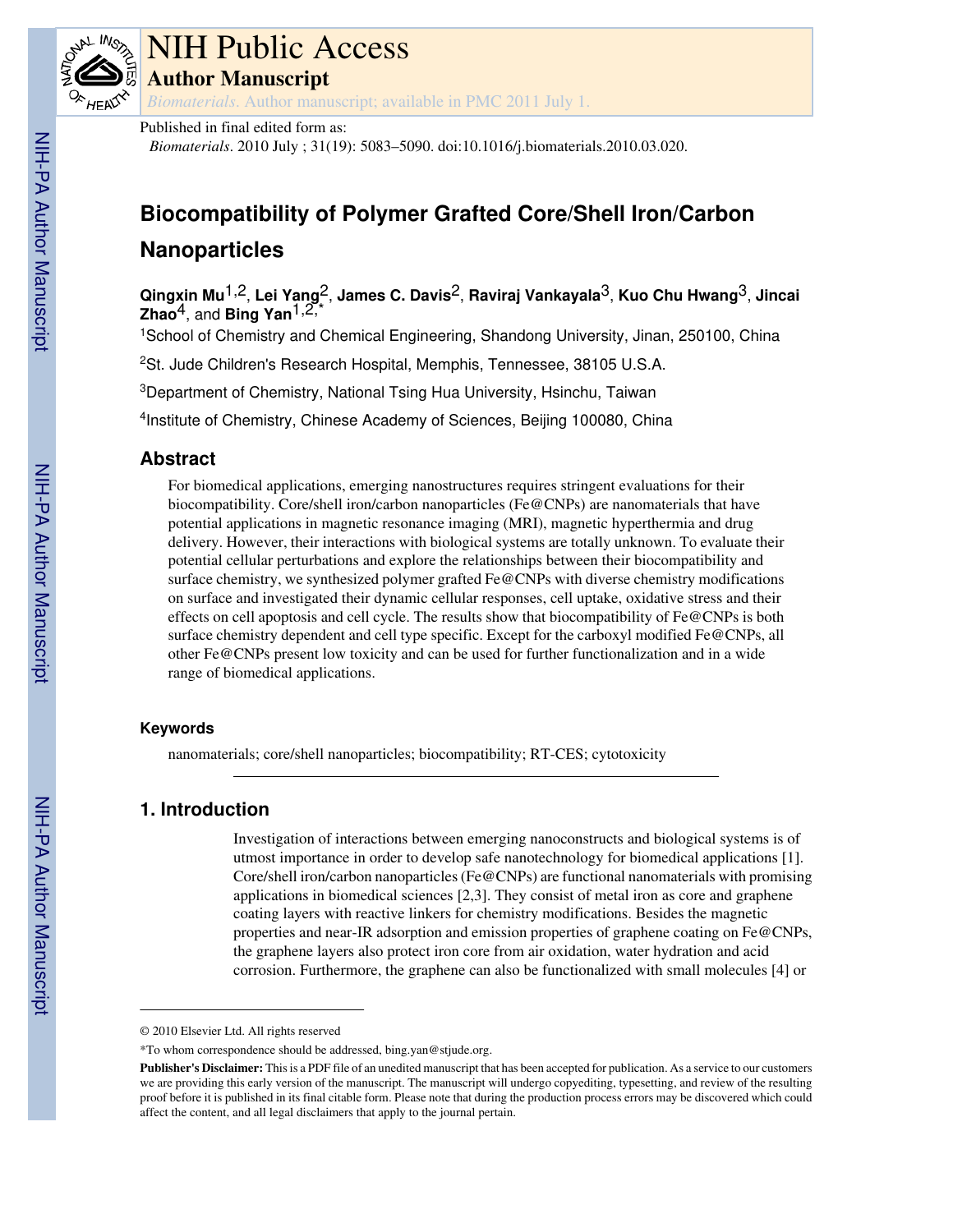

# NIH Public Access

**Author Manuscript**

*Biomaterials*. Author manuscript; available in PMC 2011 July 1.

Published in final edited form as:

*Biomaterials*. 2010 July ; 31(19): 5083–5090. doi:10.1016/j.biomaterials.2010.03.020.

## **Biocompatibility of Polymer Grafted Core/Shell Iron/Carbon Nanoparticles**

**Qingxin Mu**1,2, **Lei Yang**2, **James C. Davis**2, **Raviraj Vankayala**3, **Kuo Chu Hwang**3, **Jincai Zhao**<sup>4</sup>, and **Bing Yan**<sup>1,2</sup>

<sup>1</sup>School of Chemistry and Chemical Engineering, Shandong University, Jinan, 250100, China

<sup>2</sup>St. Jude Children's Research Hospital, Memphis, Tennessee, 38105 U.S.A.

<sup>3</sup>Department of Chemistry, National Tsing Hua University, Hsinchu, Taiwan

<sup>4</sup>Institute of Chemistry, Chinese Academy of Sciences, Beijing 100080, China

## **Abstract**

For biomedical applications, emerging nanostructures requires stringent evaluations for their biocompatibility. Core/shell iron/carbon nanoparticles (Fe@CNPs) are nanomaterials that have potential applications in magnetic resonance imaging (MRI), magnetic hyperthermia and drug delivery. However, their interactions with biological systems are totally unknown. To evaluate their potential cellular perturbations and explore the relationships between their biocompatibility and surface chemistry, we synthesized polymer grafted Fe@CNPs with diverse chemistry modifications on surface and investigated their dynamic cellular responses, cell uptake, oxidative stress and their effects on cell apoptosis and cell cycle. The results show that biocompatibility of Fe@CNPs is both surface chemistry dependent and cell type specific. Except for the carboxyl modified Fe@CNPs, all other Fe@CNPs present low toxicity and can be used for further functionalization and in a wide range of biomedical applications.

## **Keywords**

nanomaterials; core/shell nanoparticles; biocompatibility; RT-CES; cytotoxicity

## **1. Introduction**

Investigation of interactions between emerging nanoconstructs and biological systems is of utmost importance in order to develop safe nanotechnology for biomedical applications [1]. Core/shell iron/carbon nanoparticles (Fe@CNPs) are functional nanomaterials with promising applications in biomedical sciences [2,3]. They consist of metal iron as core and graphene coating layers with reactive linkers for chemistry modifications. Besides the magnetic properties and near-IR adsorption and emission properties of graphene coating on Fe@CNPs, the graphene layers also protect iron core from air oxidation, water hydration and acid corrosion. Furthermore, the graphene can also be functionalized with small molecules [4] or

<sup>© 2010</sup> Elsevier Ltd. All rights reserved

<sup>\*</sup>To whom correspondence should be addressed, bing.yan@stjude.org.

**Publisher's Disclaimer:** This is a PDF file of an unedited manuscript that has been accepted for publication. As a service to our customers we are providing this early version of the manuscript. The manuscript will undergo copyediting, typesetting, and review of the resulting proof before it is published in its final citable form. Please note that during the production process errors may be discovered which could affect the content, and all legal disclaimers that apply to the journal pertain.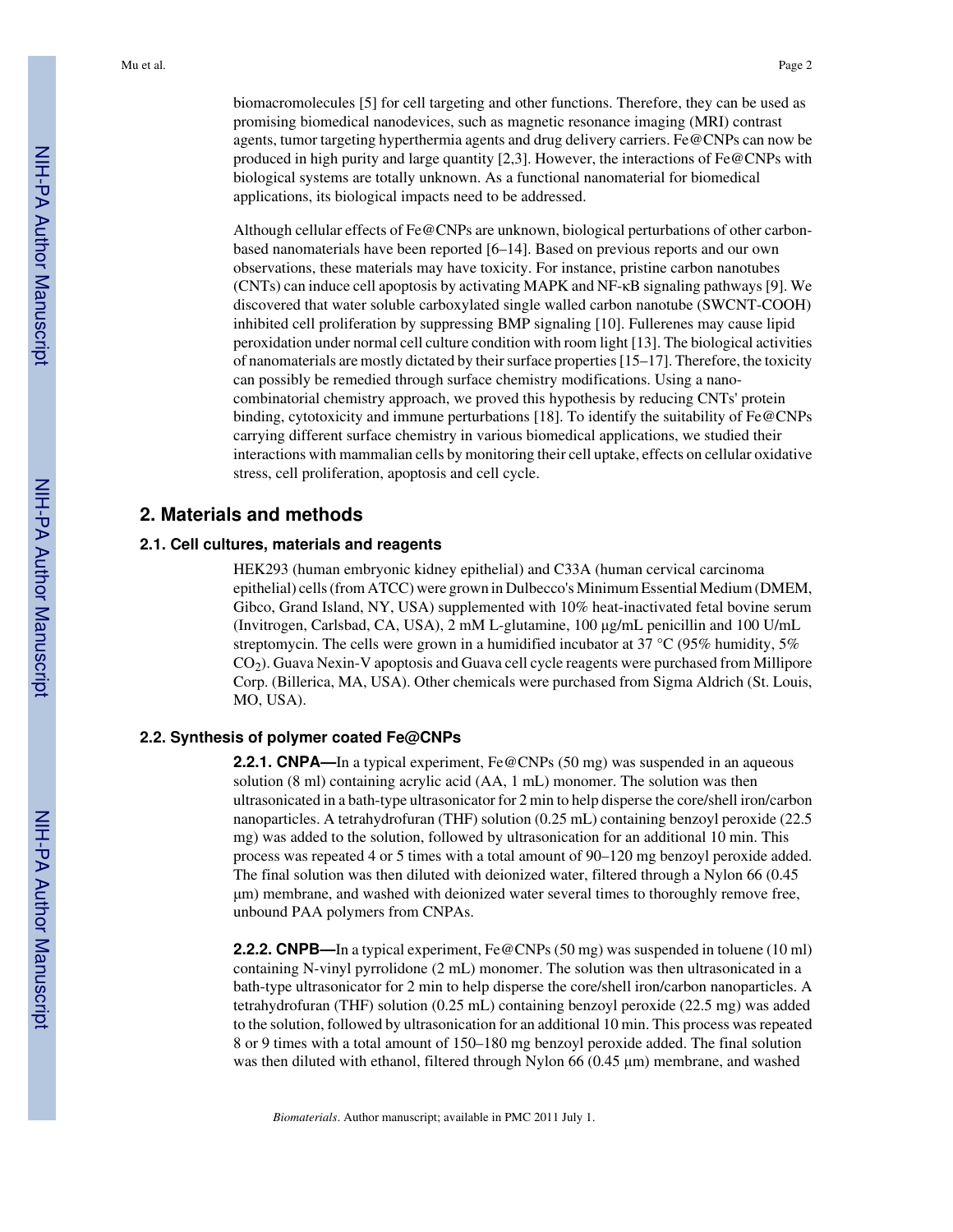biomacromolecules [5] for cell targeting and other functions. Therefore, they can be used as promising biomedical nanodevices, such as magnetic resonance imaging (MRI) contrast agents, tumor targeting hyperthermia agents and drug delivery carriers. Fe@CNPs can now be produced in high purity and large quantity [2,3]. However, the interactions of  $Fe@CNPs$  with biological systems are totally unknown. As a functional nanomaterial for biomedical applications, its biological impacts need to be addressed.

Although cellular effects of Fe@CNPs are unknown, biological perturbations of other carbonbased nanomaterials have been reported [6–14]. Based on previous reports and our own observations, these materials may have toxicity. For instance, pristine carbon nanotubes (CNTs) can induce cell apoptosis by activating MAPK and NF-κB signaling pathways [9]. We discovered that water soluble carboxylated single walled carbon nanotube (SWCNT-COOH) inhibited cell proliferation by suppressing BMP signaling [10]. Fullerenes may cause lipid peroxidation under normal cell culture condition with room light [13]. The biological activities of nanomaterials are mostly dictated by their surface properties [15–17]. Therefore, the toxicity can possibly be remedied through surface chemistry modifications. Using a nanocombinatorial chemistry approach, we proved this hypothesis by reducing CNTs' protein binding, cytotoxicity and immune perturbations [18]. To identify the suitability of Fe@CNPs carrying different surface chemistry in various biomedical applications, we studied their interactions with mammalian cells by monitoring their cell uptake, effects on cellular oxidative stress, cell proliferation, apoptosis and cell cycle.

## **2. Materials and methods**

#### **2.1. Cell cultures, materials and reagents**

HEK293 (human embryonic kidney epithelial) and C33A (human cervical carcinoma epithelial) cells (from ATCC) were grown in Dulbecco's Minimum Essential Medium (DMEM, Gibco, Grand Island, NY, USA) supplemented with 10% heat-inactivated fetal bovine serum (Invitrogen, Carlsbad, CA, USA), 2 mM L-glutamine, 100 μg/mL penicillin and 100 U/mL streptomycin. The cells were grown in a humidified incubator at 37  $\degree$ C (95% humidity, 5%  $CO<sub>2</sub>$ ). Guava Nexin-V apoptosis and Guava cell cycle reagents were purchased from Millipore Corp. (Billerica, MA, USA). Other chemicals were purchased from Sigma Aldrich (St. Louis, MO, USA).

#### **2.2. Synthesis of polymer coated Fe@CNPs**

**2.2.1. CNPA—**In a typical experiment, Fe@CNPs (50 mg) was suspended in an aqueous solution (8 ml) containing acrylic acid (AA, 1 mL) monomer. The solution was then ultrasonicated in a bath-type ultrasonicator for 2 min to help disperse the core/shell iron/carbon nanoparticles. A tetrahydrofuran (THF) solution (0.25 mL) containing benzoyl peroxide (22.5 mg) was added to the solution, followed by ultrasonication for an additional 10 min. This process was repeated 4 or 5 times with a total amount of 90–120 mg benzoyl peroxide added. The final solution was then diluted with deionized water, filtered through a Nylon 66 (0.45 μm) membrane, and washed with deionized water several times to thoroughly remove free, unbound PAA polymers from CNPAs.

**2.2.2. CNPB—**In a typical experiment, Fe@CNPs (50 mg) was suspended in toluene (10 ml) containing N-vinyl pyrrolidone (2 mL) monomer. The solution was then ultrasonicated in a bath-type ultrasonicator for 2 min to help disperse the core/shell iron/carbon nanoparticles. A tetrahydrofuran (THF) solution (0.25 mL) containing benzoyl peroxide (22.5 mg) was added to the solution, followed by ultrasonication for an additional 10 min. This process was repeated 8 or 9 times with a total amount of 150–180 mg benzoyl peroxide added. The final solution was then diluted with ethanol, filtered through Nylon 66 (0.45 μm) membrane, and washed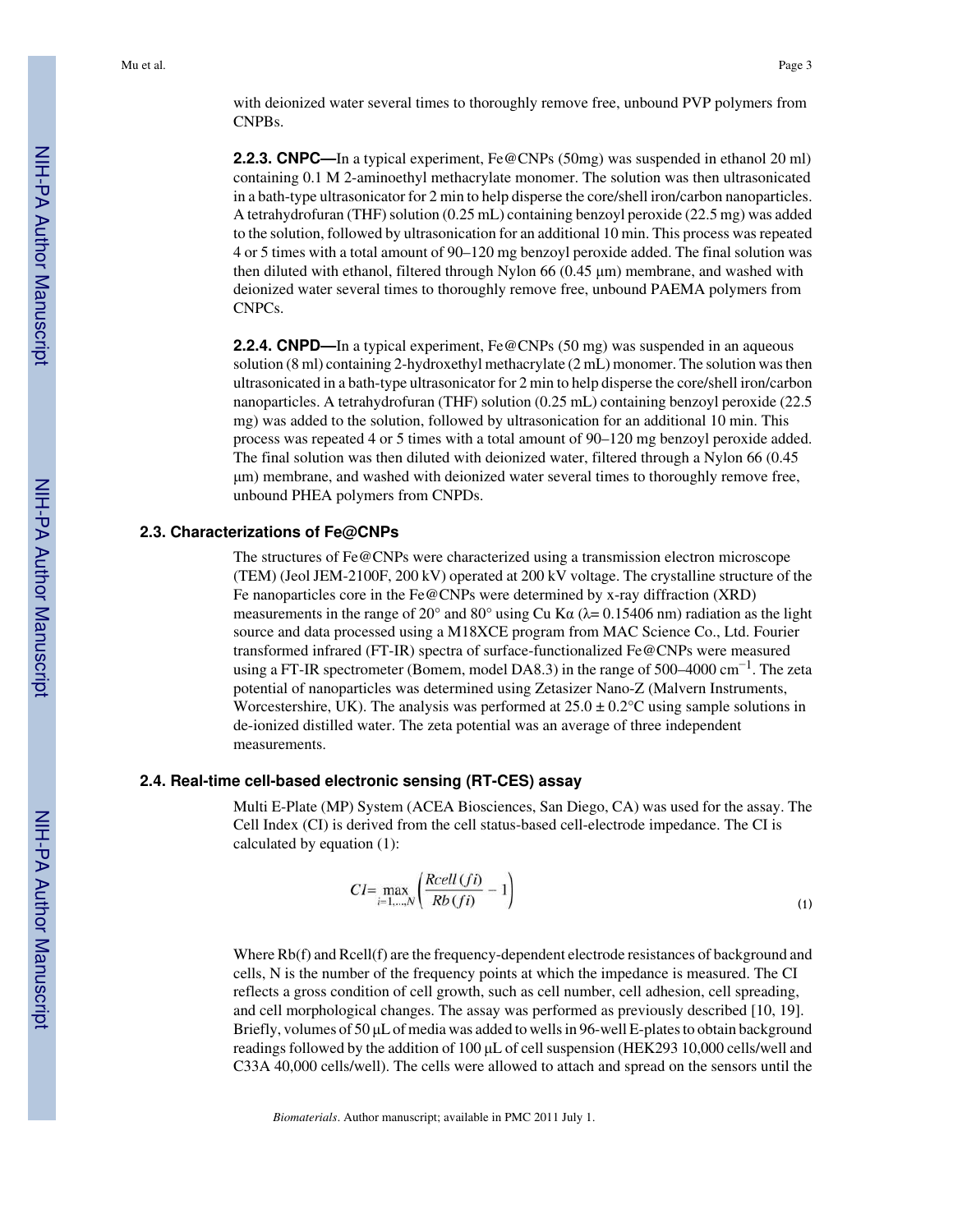with deionized water several times to thoroughly remove free, unbound PVP polymers from CNPBs.

**2.2.3. CNPC—**In a typical experiment, Fe@CNPs (50mg) was suspended in ethanol 20 ml) containing 0.1 M 2-aminoethyl methacrylate monomer. The solution was then ultrasonicated in a bath-type ultrasonicator for 2 min to help disperse the core/shell iron/carbon nanoparticles. A tetrahydrofuran (THF) solution (0.25 mL) containing benzoyl peroxide (22.5 mg) was added to the solution, followed by ultrasonication for an additional 10 min. This process was repeated 4 or 5 times with a total amount of 90–120 mg benzoyl peroxide added. The final solution was then diluted with ethanol, filtered through Nylon 66 (0.45 μm) membrane, and washed with deionized water several times to thoroughly remove free, unbound PAEMA polymers from CNPCs.

**2.2.4. CNPD—**In a typical experiment, Fe@CNPs (50 mg) was suspended in an aqueous solution (8 ml) containing 2-hydroxethyl methacrylate (2 mL) monomer. The solution was then ultrasonicated in a bath-type ultrasonicator for 2 min to help disperse the core/shell iron/carbon nanoparticles. A tetrahydrofuran (THF) solution (0.25 mL) containing benzoyl peroxide (22.5 mg) was added to the solution, followed by ultrasonication for an additional 10 min. This process was repeated 4 or 5 times with a total amount of 90–120 mg benzoyl peroxide added. The final solution was then diluted with deionized water, filtered through a Nylon 66 (0.45 μm) membrane, and washed with deionized water several times to thoroughly remove free, unbound PHEA polymers from CNPDs.

#### **2.3. Characterizations of Fe@CNPs**

The structures of Fe@CNPs were characterized using a transmission electron microscope (TEM) (Jeol JEM-2100F, 200 kV) operated at 200 kV voltage. The crystalline structure of the Fe nanoparticles core in the Fe@CNPs were determined by x-ray diffraction (XRD) measurements in the range of 20° and 80° using Cu Ka  $(\lambda = 0.15406 \text{ nm})$  radiation as the light source and data processed using a M18XCE program from MAC Science Co., Ltd. Fourier transformed infrared (FT-IR) spectra of surface-functionalized Fe@CNPs were measured using a FT-IR spectrometer (Bomem, model DA8.3) in the range of 500–4000 cm−<sup>1</sup> . The zeta potential of nanoparticles was determined using Zetasizer Nano-Z (Malvern Instruments, Worcestershire, UK). The analysis was performed at  $25.0 \pm 0.2^{\circ}$ C using sample solutions in de-ionized distilled water. The zeta potential was an average of three independent measurements.

#### **2.4. Real-time cell-based electronic sensing (RT-CES) assay**

Multi E-Plate (MP) System (ACEA Biosciences, San Diego, CA) was used for the assay. The Cell Index (CI) is derived from the cell status-based cell-electrode impedance. The CI is calculated by equation (1):

$$
CI = \max_{i=1,\dots,N} \left( \frac{Reell(fi)}{Rb(fi)} - 1 \right) \tag{1}
$$

Where Rb(f) and Rcell(f) are the frequency-dependent electrode resistances of background and cells, N is the number of the frequency points at which the impedance is measured. The CI reflects a gross condition of cell growth, such as cell number, cell adhesion, cell spreading, and cell morphological changes. The assay was performed as previously described [10, 19]. Briefly, volumes of 50 μL of media was added to wells in 96-well E-plates to obtain background readings followed by the addition of 100 μL of cell suspension (HEK293 10,000 cells/well and C33A 40,000 cells/well). The cells were allowed to attach and spread on the sensors until the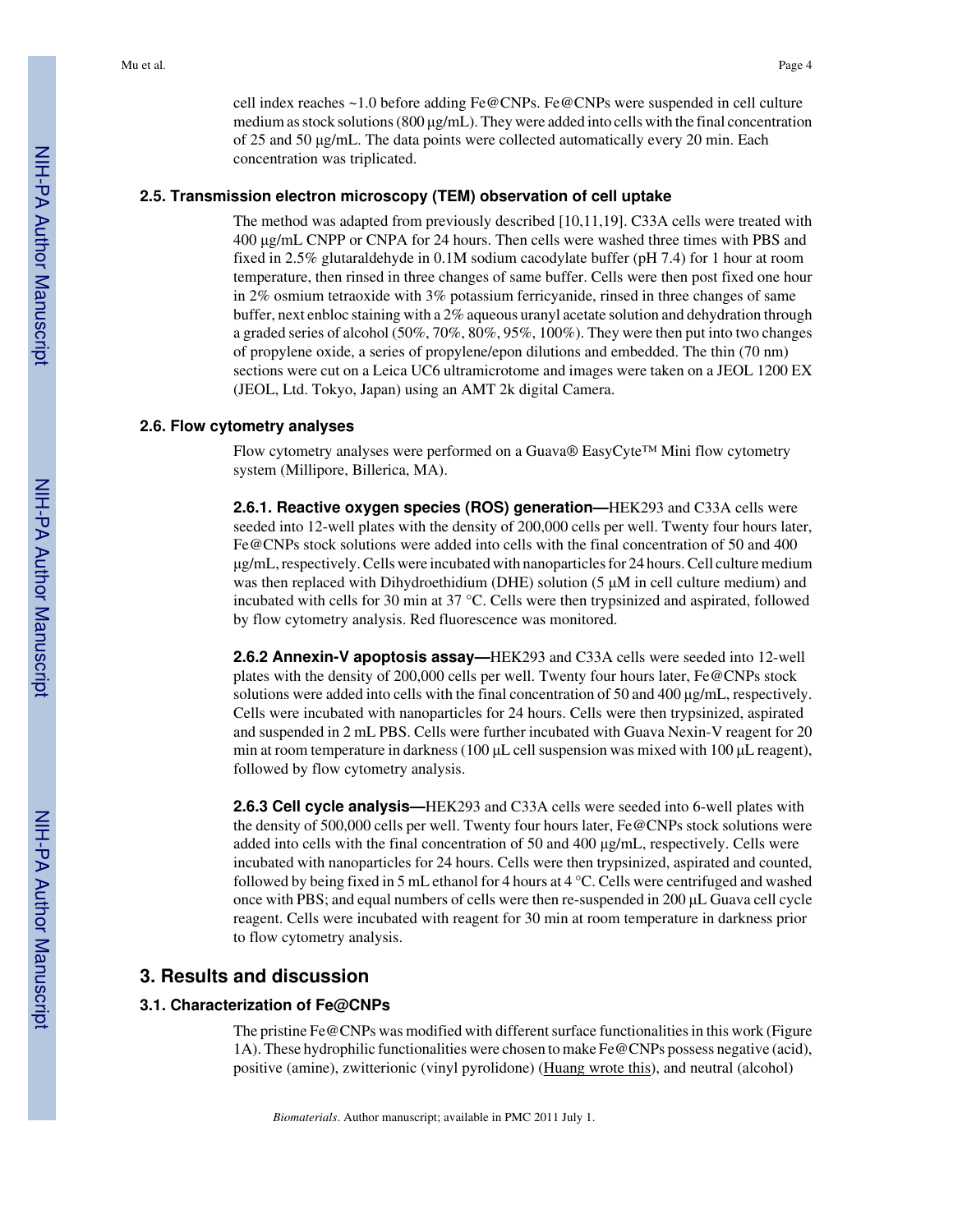cell index reaches ~1.0 before adding Fe@CNPs. Fe@CNPs were suspended in cell culture medium as stock solutions (800 μg/mL). They were added into cells with the final concentration of 25 and 50 μg/mL. The data points were collected automatically every 20 min. Each concentration was triplicated.

#### **2.5. Transmission electron microscopy (TEM) observation of cell uptake**

The method was adapted from previously described [10,11,19]. C33A cells were treated with 400 μg/mL CNPP or CNPA for 24 hours. Then cells were washed three times with PBS and fixed in 2.5% glutaraldehyde in 0.1M sodium cacodylate buffer (pH 7.4) for 1 hour at room temperature, then rinsed in three changes of same buffer. Cells were then post fixed one hour in 2% osmium tetraoxide with 3% potassium ferricyanide, rinsed in three changes of same buffer, next enbloc staining with a 2% aqueous uranyl acetate solution and dehydration through a graded series of alcohol (50%, 70%, 80%, 95%, 100%). They were then put into two changes of propylene oxide, a series of propylene/epon dilutions and embedded. The thin (70 nm) sections were cut on a Leica UC6 ultramicrotome and images were taken on a JEOL 1200 EX (JEOL, Ltd. Tokyo, Japan) using an AMT 2k digital Camera.

#### **2.6. Flow cytometry analyses**

Flow cytometry analyses were performed on a Guava® EasyCyte™ Mini flow cytometry system (Millipore, Billerica, MA).

**2.6.1. Reactive oxygen species (ROS) generation—**HEK293 and C33A cells were seeded into 12-well plates with the density of 200,000 cells per well. Twenty four hours later, Fe@CNPs stock solutions were added into cells with the final concentration of 50 and 400 μg/mL, respectively. Cells were incubated with nanoparticles for 24 hours. Cell culture medium was then replaced with Dihydroethidium (DHE) solution (5  $\mu$ M in cell culture medium) and incubated with cells for 30 min at 37 °C. Cells were then trypsinized and aspirated, followed by flow cytometry analysis. Red fluorescence was monitored.

**2.6.2 Annexin-V apoptosis assay—**HEK293 and C33A cells were seeded into 12-well plates with the density of 200,000 cells per well. Twenty four hours later, Fe@CNPs stock solutions were added into cells with the final concentration of 50 and 400 μg/mL, respectively. Cells were incubated with nanoparticles for 24 hours. Cells were then trypsinized, aspirated and suspended in 2 mL PBS. Cells were further incubated with Guava Nexin-V reagent for 20 min at room temperature in darkness (100 μL cell suspension was mixed with 100 μL reagent), followed by flow cytometry analysis.

**2.6.3 Cell cycle analysis—**HEK293 and C33A cells were seeded into 6-well plates with the density of 500,000 cells per well. Twenty four hours later, Fe@CNPs stock solutions were added into cells with the final concentration of 50 and 400 μg/mL, respectively. Cells were incubated with nanoparticles for 24 hours. Cells were then trypsinized, aspirated and counted, followed by being fixed in 5 mL ethanol for 4 hours at 4 °C. Cells were centrifuged and washed once with PBS; and equal numbers of cells were then re-suspended in 200 μL Guava cell cycle reagent. Cells were incubated with reagent for 30 min at room temperature in darkness prior to flow cytometry analysis.

## **3. Results and discussion**

#### **3.1. Characterization of Fe@CNPs**

The pristine Fe@CNPs was modified with different surface functionalities in this work (Figure 1A). These hydrophilic functionalities were chosen to make Fe@CNPs possess negative (acid), positive (amine), zwitterionic (vinyl pyrolidone) (Huang wrote this), and neutral (alcohol)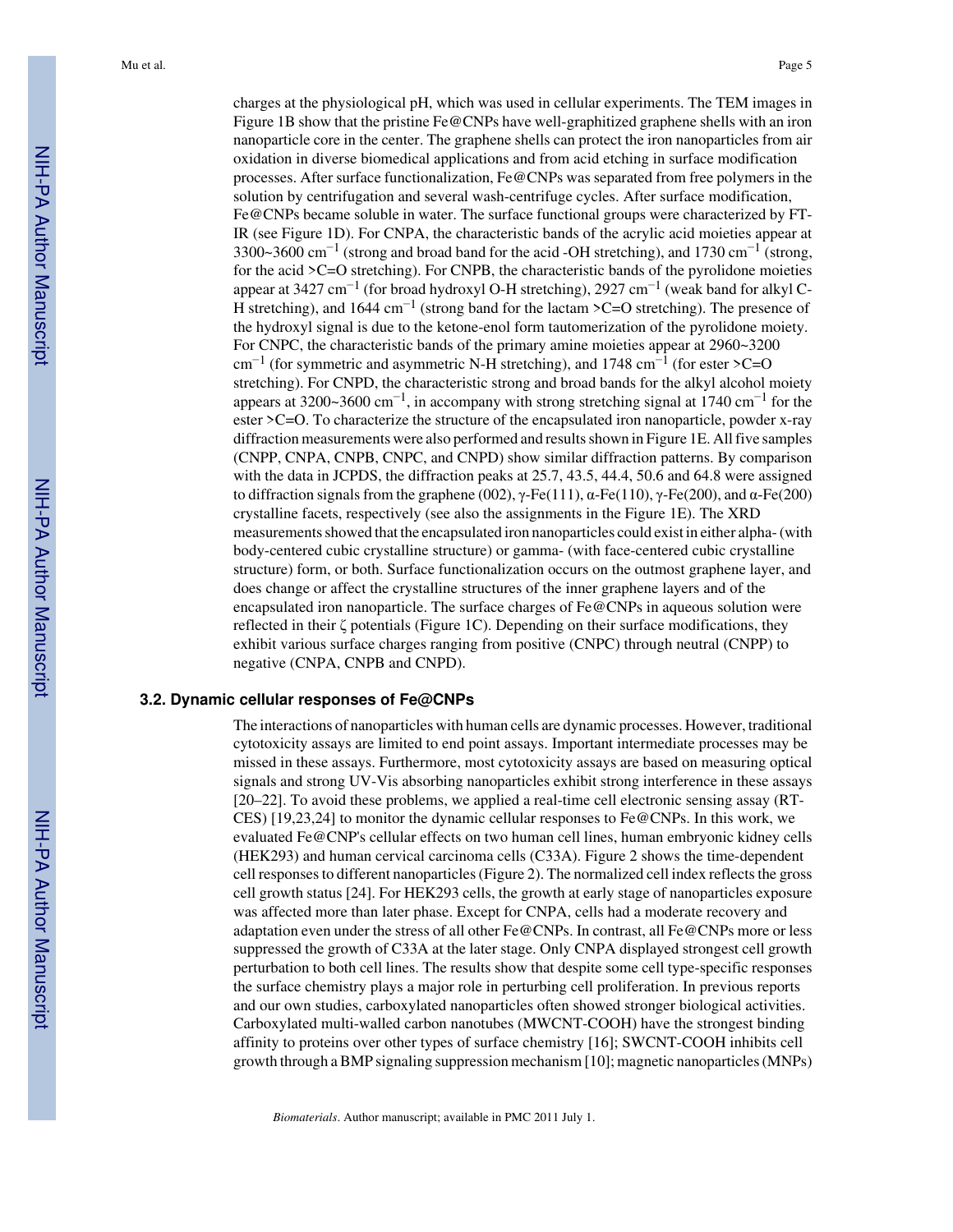charges at the physiological pH, which was used in cellular experiments. The TEM images in Figure 1B show that the pristine Fe@CNPs have well-graphitized graphene shells with an iron nanoparticle core in the center. The graphene shells can protect the iron nanoparticles from air oxidation in diverse biomedical applications and from acid etching in surface modification processes. After surface functionalization, Fe@CNPs was separated from free polymers in the solution by centrifugation and several wash-centrifuge cycles. After surface modification, Fe@CNPs became soluble in water. The surface functional groups were characterized by FT-IR (see Figure 1D). For CNPA, the characteristic bands of the acrylic acid moieties appear at 3300~3600 cm<sup>-1</sup> (strong and broad band for the acid -OH stretching), and 1730 cm<sup>-1</sup> (strong, for the acid >C=O stretching). For CNPB, the characteristic bands of the pyrolidone moieties appear at 3427 cm<sup>-1</sup> (for broad hydroxyl O-H stretching), 2927 cm<sup>-1</sup> (weak band for alkyl C-H stretching), and 1644 cm<sup>-1</sup> (strong band for the lactam >C=O stretching). The presence of the hydroxyl signal is due to the ketone-enol form tautomerization of the pyrolidone moiety. For CNPC, the characteristic bands of the primary amine moieties appear at 2960~3200 cm<sup>-1</sup> (for symmetric and asymmetric N-H stretching), and 1748 cm<sup>-1</sup> (for ester >C=O stretching). For CNPD, the characteristic strong and broad bands for the alkyl alcohol moiety appears at 3200~3600 cm<sup>-1</sup>, in accompany with strong stretching signal at 1740 cm<sup>-1</sup> for the ester >C=O. To characterize the structure of the encapsulated iron nanoparticle, powder x-ray diffraction measurements were also performed and results shown in Figure 1E. All five samples (CNPP, CNPA, CNPB, CNPC, and CNPD) show similar diffraction patterns. By comparison with the data in JCPDS, the diffraction peaks at 25.7, 43.5, 44.4, 50.6 and 64.8 were assigned to diffraction signals from the graphene (002),  $\gamma$ -Fe(111), α-Fe(110),  $\gamma$ -Fe(200), and α-Fe(200) crystalline facets, respectively (see also the assignments in the Figure 1E). The XRD measurements showed that the encapsulated iron nanoparticles could exist in either alpha- (with body-centered cubic crystalline structure) or gamma- (with face-centered cubic crystalline structure) form, or both. Surface functionalization occurs on the outmost graphene layer, and does change or affect the crystalline structures of the inner graphene layers and of the encapsulated iron nanoparticle. The surface charges of  $Fe@CNPs$  in aqueous solution were reflected in their ζ potentials (Figure 1C). Depending on their surface modifications, they exhibit various surface charges ranging from positive (CNPC) through neutral (CNPP) to negative (CNPA, CNPB and CNPD).

#### **3.2. Dynamic cellular responses of Fe@CNPs**

The interactions of nanoparticles with human cells are dynamic processes. However, traditional cytotoxicity assays are limited to end point assays. Important intermediate processes may be missed in these assays. Furthermore, most cytotoxicity assays are based on measuring optical signals and strong UV-Vis absorbing nanoparticles exhibit strong interference in these assays [20–22]. To avoid these problems, we applied a real-time cell electronic sensing assay (RT-CES) [19,23,24] to monitor the dynamic cellular responses to Fe@CNPs. In this work, we evaluated Fe@CNP's cellular effects on two human cell lines, human embryonic kidney cells (HEK293) and human cervical carcinoma cells (C33A). Figure 2 shows the time-dependent cell responses to different nanoparticles (Figure 2). The normalized cell index reflects the gross cell growth status [24]. For HEK293 cells, the growth at early stage of nanoparticles exposure was affected more than later phase. Except for CNPA, cells had a moderate recovery and adaptation even under the stress of all other Fe@CNPs. In contrast, all Fe@CNPs more or less suppressed the growth of C33A at the later stage. Only CNPA displayed strongest cell growth perturbation to both cell lines. The results show that despite some cell type-specific responses the surface chemistry plays a major role in perturbing cell proliferation. In previous reports and our own studies, carboxylated nanoparticles often showed stronger biological activities. Carboxylated multi-walled carbon nanotubes (MWCNT-COOH) have the strongest binding affinity to proteins over other types of surface chemistry [16]; SWCNT-COOH inhibits cell growth through a BMP signaling suppression mechanism [10]; magnetic nanoparticles (MNPs)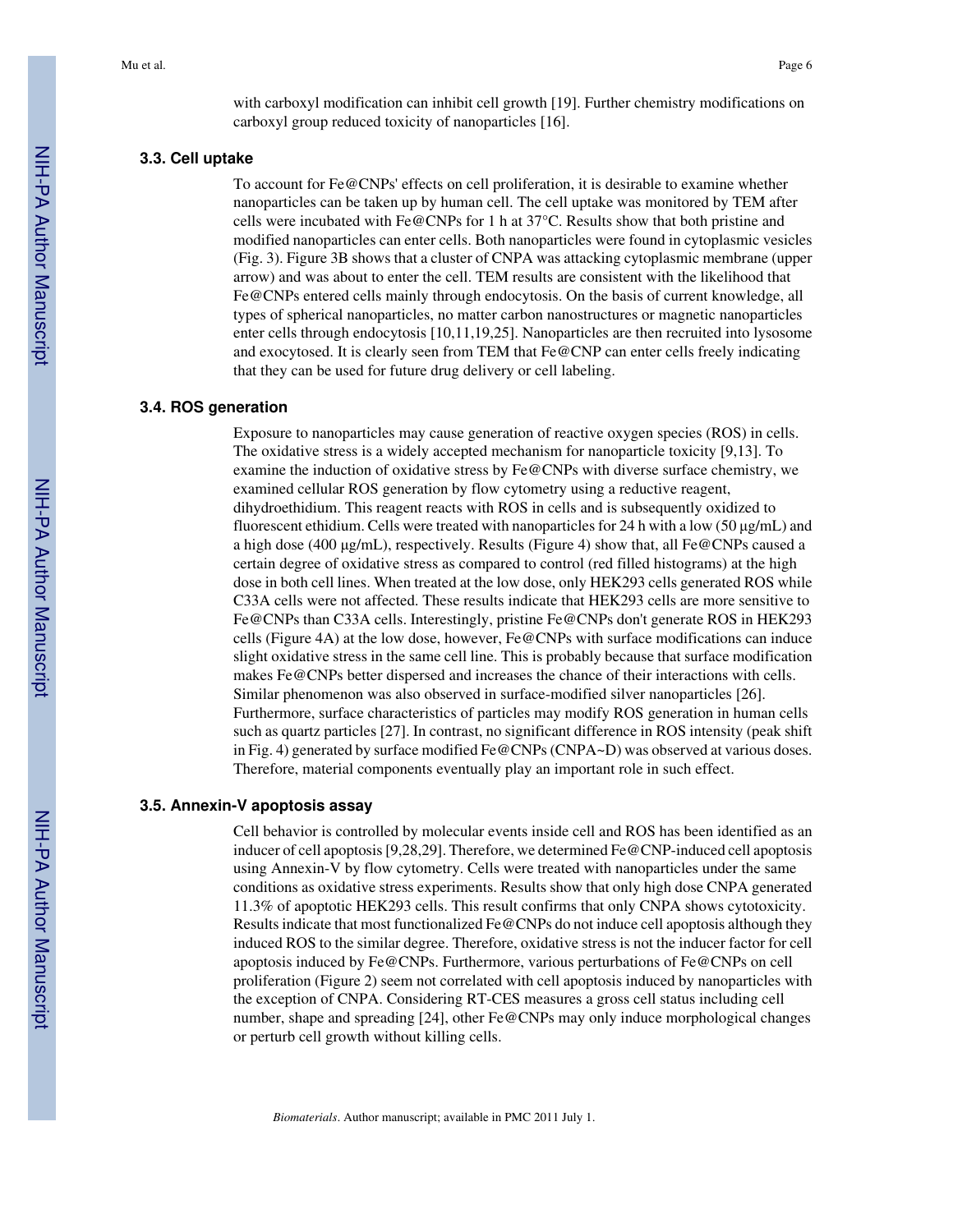with carboxyl modification can inhibit cell growth [19]. Further chemistry modifications on carboxyl group reduced toxicity of nanoparticles [16].

#### **3.3. Cell uptake**

To account for Fe@CNPs' effects on cell proliferation, it is desirable to examine whether nanoparticles can be taken up by human cell. The cell uptake was monitored by TEM after cells were incubated with Fe@CNPs for 1 h at  $37^{\circ}$ C. Results show that both pristine and modified nanoparticles can enter cells. Both nanoparticles were found in cytoplasmic vesicles (Fig. 3). Figure 3B shows that a cluster of CNPA was attacking cytoplasmic membrane (upper arrow) and was about to enter the cell. TEM results are consistent with the likelihood that Fe@CNPs entered cells mainly through endocytosis. On the basis of current knowledge, all types of spherical nanoparticles, no matter carbon nanostructures or magnetic nanoparticles enter cells through endocytosis [10,11,19,25]. Nanoparticles are then recruited into lysosome and exocytosed. It is clearly seen from TEM that Fe@CNP can enter cells freely indicating that they can be used for future drug delivery or cell labeling.

#### **3.4. ROS generation**

Exposure to nanoparticles may cause generation of reactive oxygen species (ROS) in cells. The oxidative stress is a widely accepted mechanism for nanoparticle toxicity [9,13]. To examine the induction of oxidative stress by Fe@CNPs with diverse surface chemistry, we examined cellular ROS generation by flow cytometry using a reductive reagent, dihydroethidium. This reagent reacts with ROS in cells and is subsequently oxidized to fluorescent ethidium. Cells were treated with nanoparticles for 24 h with a low (50 μg/mL) and a high dose (400 μg/mL), respectively. Results (Figure 4) show that, all Fe@CNPs caused a certain degree of oxidative stress as compared to control (red filled histograms) at the high dose in both cell lines. When treated at the low dose, only HEK293 cells generated ROS while C33A cells were not affected. These results indicate that HEK293 cells are more sensitive to Fe@CNPs than C33A cells. Interestingly, pristine Fe@CNPs don't generate ROS in HEK293 cells (Figure 4A) at the low dose, however, Fe@CNPs with surface modifications can induce slight oxidative stress in the same cell line. This is probably because that surface modification makes Fe@CNPs better dispersed and increases the chance of their interactions with cells. Similar phenomenon was also observed in surface-modified silver nanoparticles [26]. Furthermore, surface characteristics of particles may modify ROS generation in human cells such as quartz particles [27]. In contrast, no significant difference in ROS intensity (peak shift in Fig. 4) generated by surface modified Fe@CNPs (CNPA~D) was observed at various doses. Therefore, material components eventually play an important role in such effect.

#### **3.5. Annexin-V apoptosis assay**

Cell behavior is controlled by molecular events inside cell and ROS has been identified as an inducer of cell apoptosis [9,28,29]. Therefore, we determined Fe@CNP-induced cell apoptosis using Annexin-V by flow cytometry. Cells were treated with nanoparticles under the same conditions as oxidative stress experiments. Results show that only high dose CNPA generated 11.3% of apoptotic HEK293 cells. This result confirms that only CNPA shows cytotoxicity. Results indicate that most functionalized Fe@CNPs do not induce cell apoptosis although they induced ROS to the similar degree. Therefore, oxidative stress is not the inducer factor for cell apoptosis induced by Fe@CNPs. Furthermore, various perturbations of Fe@CNPs on cell proliferation (Figure 2) seem not correlated with cell apoptosis induced by nanoparticles with the exception of CNPA. Considering RT-CES measures a gross cell status including cell number, shape and spreading [24], other Fe@CNPs may only induce morphological changes or perturb cell growth without killing cells.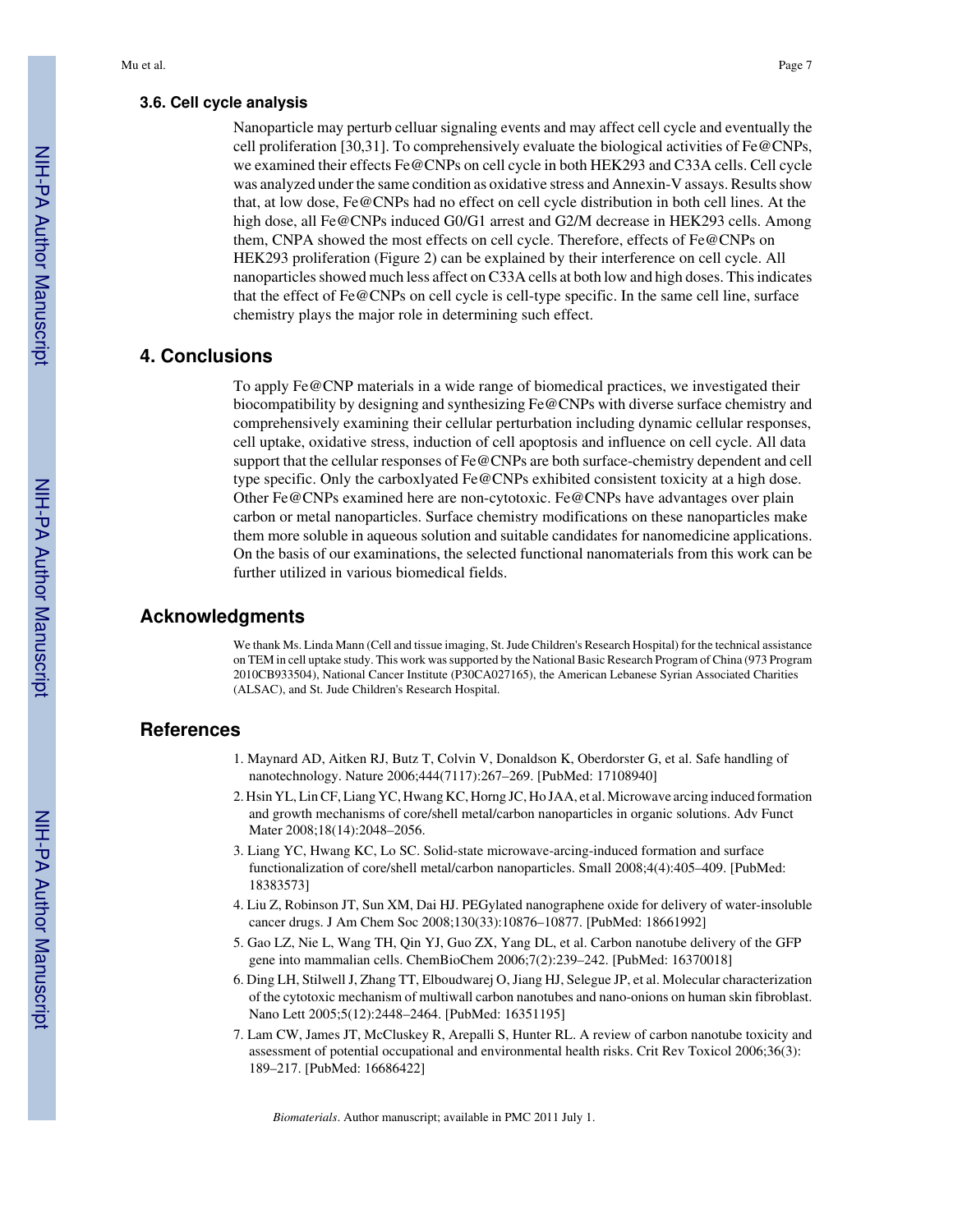#### **3.6. Cell cycle analysis**

Nanoparticle may perturb celluar signaling events and may affect cell cycle and eventually the cell proliferation [30,31]. To comprehensively evaluate the biological activities of Fe@CNPs, we examined their effects Fe@CNPs on cell cycle in both HEK293 and C33A cells. Cell cycle was analyzed under the same condition as oxidative stress and Annexin-V assays. Results show that, at low dose, Fe@CNPs had no effect on cell cycle distribution in both cell lines. At the high dose, all Fe@CNPs induced G0/G1 arrest and G2/M decrease in HEK293 cells. Among them, CNPA showed the most effects on cell cycle. Therefore, effects of Fe@CNPs on HEK293 proliferation (Figure 2) can be explained by their interference on cell cycle. All nanoparticles showed much less affect on C33A cells at both low and high doses. This indicates that the effect of Fe@CNPs on cell cycle is cell-type specific. In the same cell line, surface chemistry plays the major role in determining such effect.

#### **4. Conclusions**

To apply Fe@CNP materials in a wide range of biomedical practices, we investigated their biocompatibility by designing and synthesizing Fe@CNPs with diverse surface chemistry and comprehensively examining their cellular perturbation including dynamic cellular responses, cell uptake, oxidative stress, induction of cell apoptosis and influence on cell cycle. All data support that the cellular responses of Fe@CNPs are both surface-chemistry dependent and cell type specific. Only the carboxlyated Fe@CNPs exhibited consistent toxicity at a high dose. Other Fe@CNPs examined here are non-cytotoxic. Fe@CNPs have advantages over plain carbon or metal nanoparticles. Surface chemistry modifications on these nanoparticles make them more soluble in aqueous solution and suitable candidates for nanomedicine applications. On the basis of our examinations, the selected functional nanomaterials from this work can be further utilized in various biomedical fields.

#### **Acknowledgments**

We thank Ms. Linda Mann (Cell and tissue imaging, St. Jude Children's Research Hospital) for the technical assistance on TEM in cell uptake study. This work was supported by the National Basic Research Program of China (973 Program 2010CB933504), National Cancer Institute (P30CA027165), the American Lebanese Syrian Associated Charities (ALSAC), and St. Jude Children's Research Hospital.

## **References**

- 1. Maynard AD, Aitken RJ, Butz T, Colvin V, Donaldson K, Oberdorster G, et al. Safe handling of nanotechnology. Nature 2006;444(7117):267–269. [PubMed: 17108940]
- 2. Hsin YL, Lin CF, Liang YC, Hwang KC, Horng JC, Ho JAA, et al. Microwave arcing induced formation and growth mechanisms of core/shell metal/carbon nanoparticles in organic solutions. Adv Funct Mater 2008;18(14):2048–2056.
- 3. Liang YC, Hwang KC, Lo SC. Solid-state microwave-arcing-induced formation and surface functionalization of core/shell metal/carbon nanoparticles. Small 2008;4(4):405–409. [PubMed: 18383573]
- 4. Liu Z, Robinson JT, Sun XM, Dai HJ. PEGylated nanographene oxide for delivery of water-insoluble cancer drugs. J Am Chem Soc 2008;130(33):10876–10877. [PubMed: 18661992]
- 5. Gao LZ, Nie L, Wang TH, Qin YJ, Guo ZX, Yang DL, et al. Carbon nanotube delivery of the GFP gene into mammalian cells. ChemBioChem 2006;7(2):239–242. [PubMed: 16370018]
- 6. Ding LH, Stilwell J, Zhang TT, Elboudwarej O, Jiang HJ, Selegue JP, et al. Molecular characterization of the cytotoxic mechanism of multiwall carbon nanotubes and nano-onions on human skin fibroblast. Nano Lett 2005;5(12):2448–2464. [PubMed: 16351195]
- 7. Lam CW, James JT, McCluskey R, Arepalli S, Hunter RL. A review of carbon nanotube toxicity and assessment of potential occupational and environmental health risks. Crit Rev Toxicol 2006;36(3): 189–217. [PubMed: 16686422]

*Biomaterials*. Author manuscript; available in PMC 2011 July 1.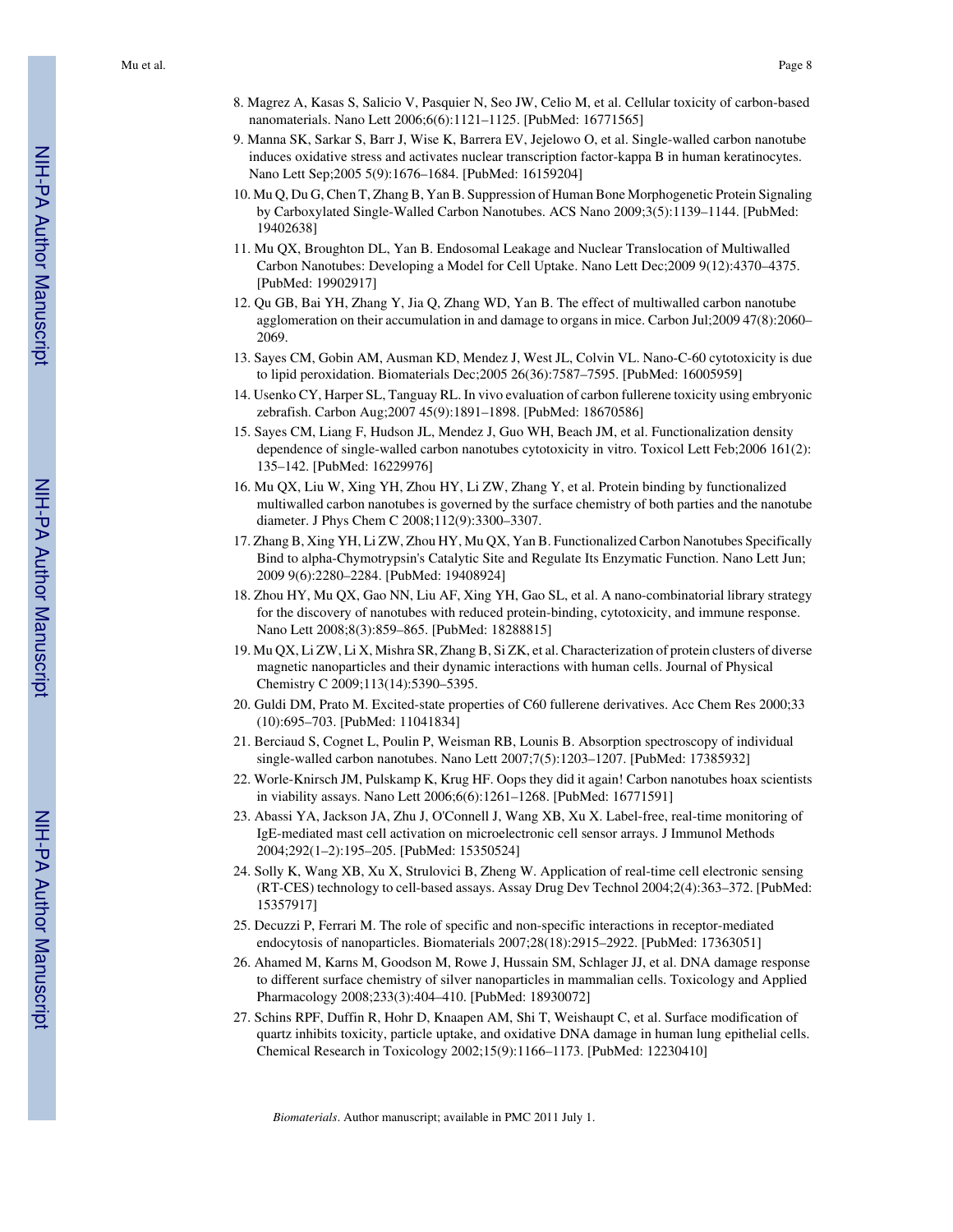- 8. Magrez A, Kasas S, Salicio V, Pasquier N, Seo JW, Celio M, et al. Cellular toxicity of carbon-based nanomaterials. Nano Lett 2006;6(6):1121–1125. [PubMed: 16771565]
- 9. Manna SK, Sarkar S, Barr J, Wise K, Barrera EV, Jejelowo O, et al. Single-walled carbon nanotube induces oxidative stress and activates nuclear transcription factor-kappa B in human keratinocytes. Nano Lett Sep;2005 5(9):1676–1684. [PubMed: 16159204]
- 10. Mu Q, Du G, Chen T, Zhang B, Yan B. Suppression of Human Bone Morphogenetic Protein Signaling by Carboxylated Single-Walled Carbon Nanotubes. ACS Nano 2009;3(5):1139–1144. [PubMed: 19402638]
- 11. Mu QX, Broughton DL, Yan B. Endosomal Leakage and Nuclear Translocation of Multiwalled Carbon Nanotubes: Developing a Model for Cell Uptake. Nano Lett Dec;2009 9(12):4370–4375. [PubMed: 19902917]
- 12. Qu GB, Bai YH, Zhang Y, Jia Q, Zhang WD, Yan B. The effect of multiwalled carbon nanotube agglomeration on their accumulation in and damage to organs in mice. Carbon Jul;2009 47(8):2060– 2069.
- 13. Sayes CM, Gobin AM, Ausman KD, Mendez J, West JL, Colvin VL. Nano-C-60 cytotoxicity is due to lipid peroxidation. Biomaterials Dec;2005 26(36):7587–7595. [PubMed: 16005959]
- 14. Usenko CY, Harper SL, Tanguay RL. In vivo evaluation of carbon fullerene toxicity using embryonic zebrafish. Carbon Aug;2007 45(9):1891–1898. [PubMed: 18670586]
- 15. Sayes CM, Liang F, Hudson JL, Mendez J, Guo WH, Beach JM, et al. Functionalization density dependence of single-walled carbon nanotubes cytotoxicity in vitro. Toxicol Lett Feb;2006 161(2): 135–142. [PubMed: 16229976]
- 16. Mu QX, Liu W, Xing YH, Zhou HY, Li ZW, Zhang Y, et al. Protein binding by functionalized multiwalled carbon nanotubes is governed by the surface chemistry of both parties and the nanotube diameter. J Phys Chem C 2008;112(9):3300–3307.
- 17. Zhang B, Xing YH, Li ZW, Zhou HY, Mu QX, Yan B. Functionalized Carbon Nanotubes Specifically Bind to alpha-Chymotrypsin's Catalytic Site and Regulate Its Enzymatic Function. Nano Lett Jun; 2009 9(6):2280–2284. [PubMed: 19408924]
- 18. Zhou HY, Mu QX, Gao NN, Liu AF, Xing YH, Gao SL, et al. A nano-combinatorial library strategy for the discovery of nanotubes with reduced protein-binding, cytotoxicity, and immune response. Nano Lett 2008;8(3):859–865. [PubMed: 18288815]
- 19. Mu QX, Li ZW, Li X, Mishra SR, Zhang B, Si ZK, et al. Characterization of protein clusters of diverse magnetic nanoparticles and their dynamic interactions with human cells. Journal of Physical Chemistry C 2009;113(14):5390–5395.
- 20. Guldi DM, Prato M. Excited-state properties of C60 fullerene derivatives. Acc Chem Res 2000;33 (10):695–703. [PubMed: 11041834]
- 21. Berciaud S, Cognet L, Poulin P, Weisman RB, Lounis B. Absorption spectroscopy of individual single-walled carbon nanotubes. Nano Lett 2007;7(5):1203–1207. [PubMed: 17385932]
- 22. Worle-Knirsch JM, Pulskamp K, Krug HF. Oops they did it again! Carbon nanotubes hoax scientists in viability assays. Nano Lett 2006;6(6):1261–1268. [PubMed: 16771591]
- 23. Abassi YA, Jackson JA, Zhu J, O'Connell J, Wang XB, Xu X. Label-free, real-time monitoring of IgE-mediated mast cell activation on microelectronic cell sensor arrays. J Immunol Methods 2004;292(1–2):195–205. [PubMed: 15350524]
- 24. Solly K, Wang XB, Xu X, Strulovici B, Zheng W. Application of real-time cell electronic sensing (RT-CES) technology to cell-based assays. Assay Drug Dev Technol 2004;2(4):363–372. [PubMed: 15357917]
- 25. Decuzzi P, Ferrari M. The role of specific and non-specific interactions in receptor-mediated endocytosis of nanoparticles. Biomaterials 2007;28(18):2915–2922. [PubMed: 17363051]
- 26. Ahamed M, Karns M, Goodson M, Rowe J, Hussain SM, Schlager JJ, et al. DNA damage response to different surface chemistry of silver nanoparticles in mammalian cells. Toxicology and Applied Pharmacology 2008;233(3):404–410. [PubMed: 18930072]
- 27. Schins RPF, Duffin R, Hohr D, Knaapen AM, Shi T, Weishaupt C, et al. Surface modification of quartz inhibits toxicity, particle uptake, and oxidative DNA damage in human lung epithelial cells. Chemical Research in Toxicology 2002;15(9):1166–1173. [PubMed: 12230410]

*Biomaterials*. Author manuscript; available in PMC 2011 July 1.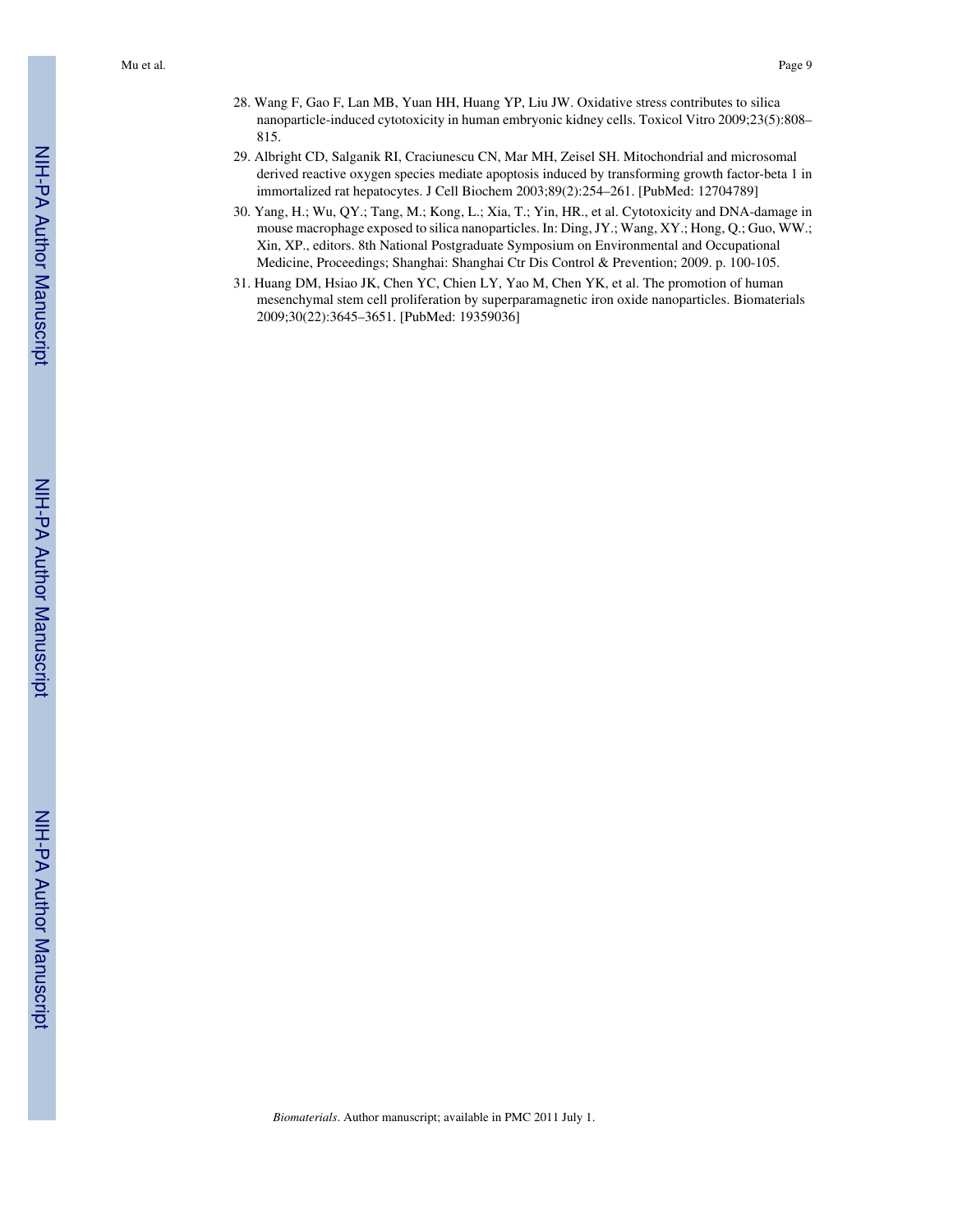- 28. Wang F, Gao F, Lan MB, Yuan HH, Huang YP, Liu JW. Oxidative stress contributes to silica nanoparticle-induced cytotoxicity in human embryonic kidney cells. Toxicol Vitro 2009;23(5):808– 815.
- 29. Albright CD, Salganik RI, Craciunescu CN, Mar MH, Zeisel SH. Mitochondrial and microsomal derived reactive oxygen species mediate apoptosis induced by transforming growth factor-beta 1 in immortalized rat hepatocytes. J Cell Biochem 2003;89(2):254–261. [PubMed: 12704789]
- 30. Yang, H.; Wu, QY.; Tang, M.; Kong, L.; Xia, T.; Yin, HR., et al. Cytotoxicity and DNA-damage in mouse macrophage exposed to silica nanoparticles. In: Ding, JY.; Wang, XY.; Hong, Q.; Guo, WW.; Xin, XP., editors. 8th National Postgraduate Symposium on Environmental and Occupational Medicine, Proceedings; Shanghai: Shanghai Ctr Dis Control & Prevention; 2009. p. 100-105.
- 31. Huang DM, Hsiao JK, Chen YC, Chien LY, Yao M, Chen YK, et al. The promotion of human mesenchymal stem cell proliferation by superparamagnetic iron oxide nanoparticles. Biomaterials 2009;30(22):3645–3651. [PubMed: 19359036]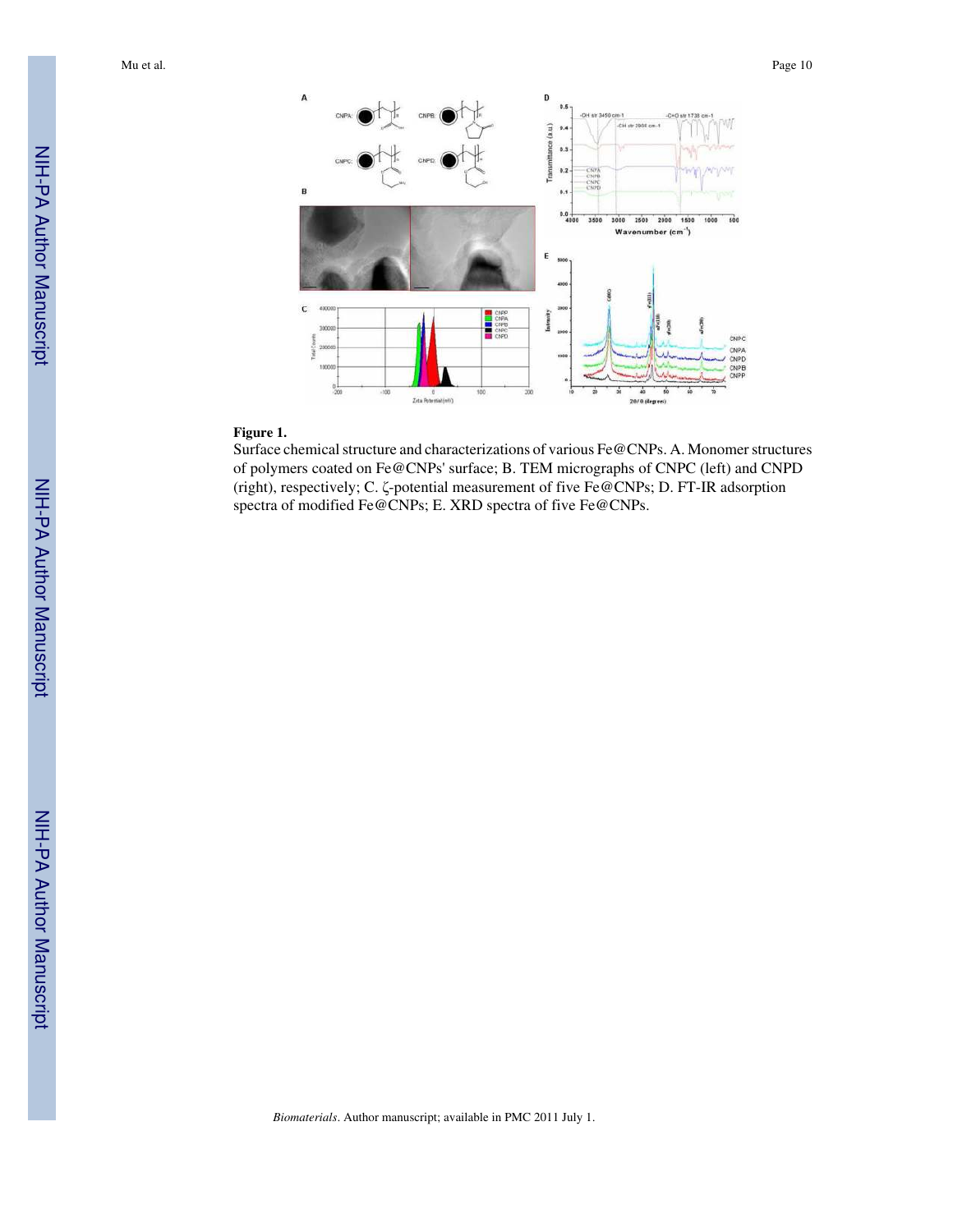

#### **Figure 1.**

Surface chemical structure and characterizations of various Fe@CNPs. A. Monomer structures of polymers coated on Fe@CNPs' surface; B. TEM micrographs of CNPC (left) and CNPD (right), respectively; C. ζ-potential measurement of five Fe@CNPs; D. FT-IR adsorption spectra of modified Fe@CNPs; E. XRD spectra of five Fe@CNPs.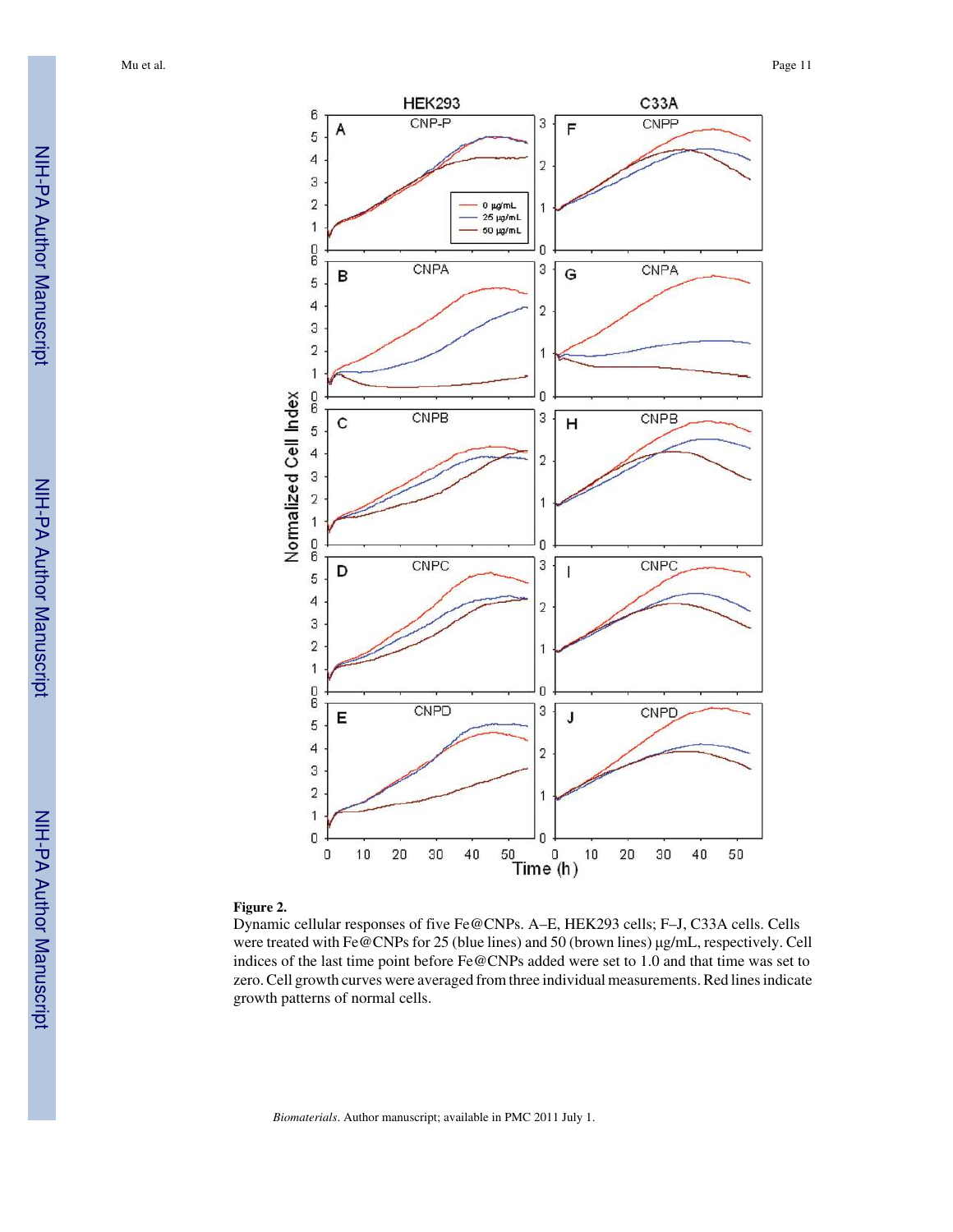

#### **Figure 2.**

Dynamic cellular responses of five Fe@CNPs. A–E, HEK293 cells; F–J, C33A cells. Cells were treated with Fe@CNPs for 25 (blue lines) and 50 (brown lines) μg/mL, respectively. Cell indices of the last time point before Fe@CNPs added were set to 1.0 and that time was set to zero. Cell growth curves were averaged from three individual measurements. Red lines indicate growth patterns of normal cells.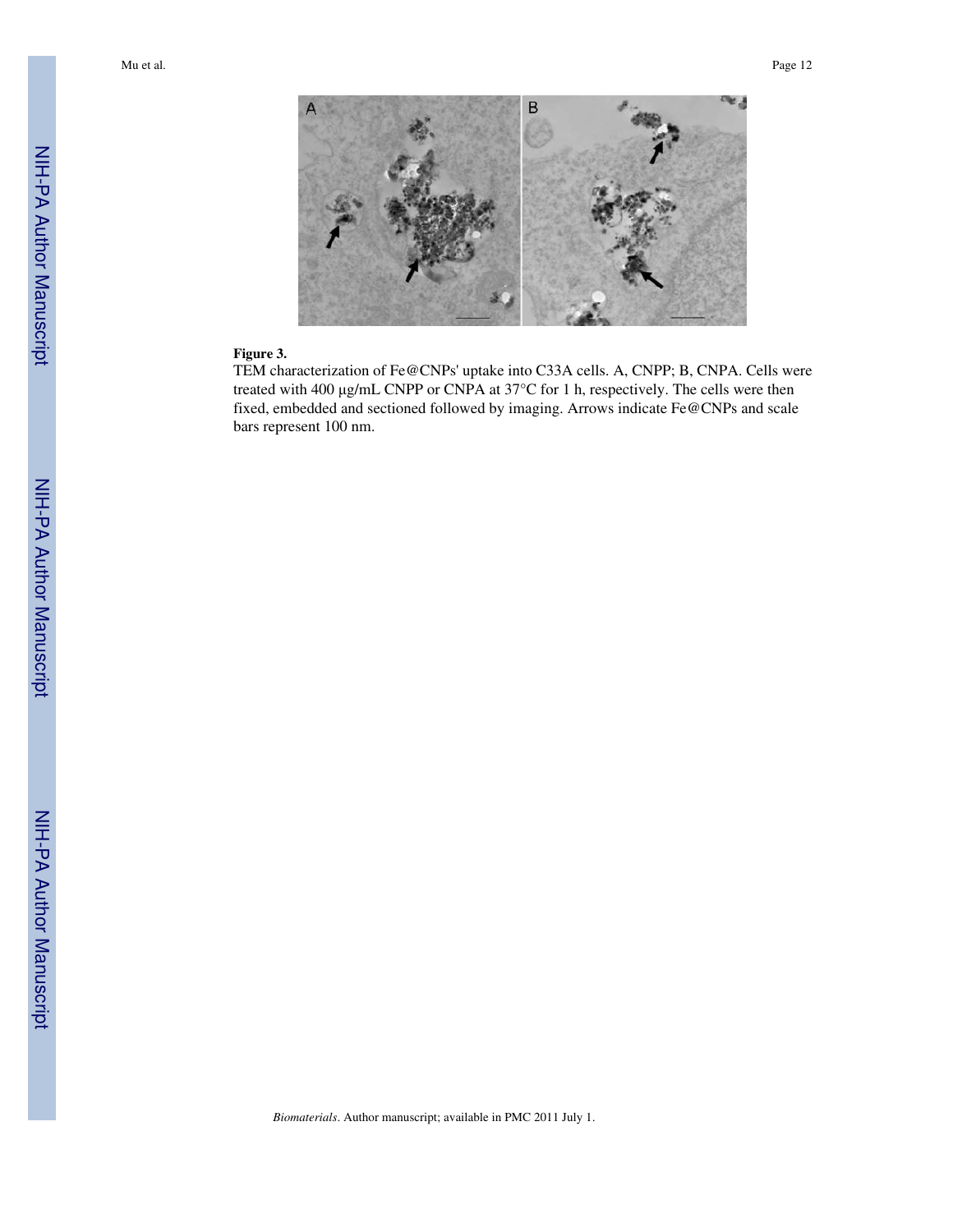

#### **Figure 3.**

TEM characterization of Fe@CNPs' uptake into C33A cells. A, CNPP; B, CNPA. Cells were treated with 400 μg/mL CNPP or CNPA at 37°C for 1 h, respectively. The cells were then fixed, embedded and sectioned followed by imaging. Arrows indicate Fe@CNPs and scale bars represent 100 nm.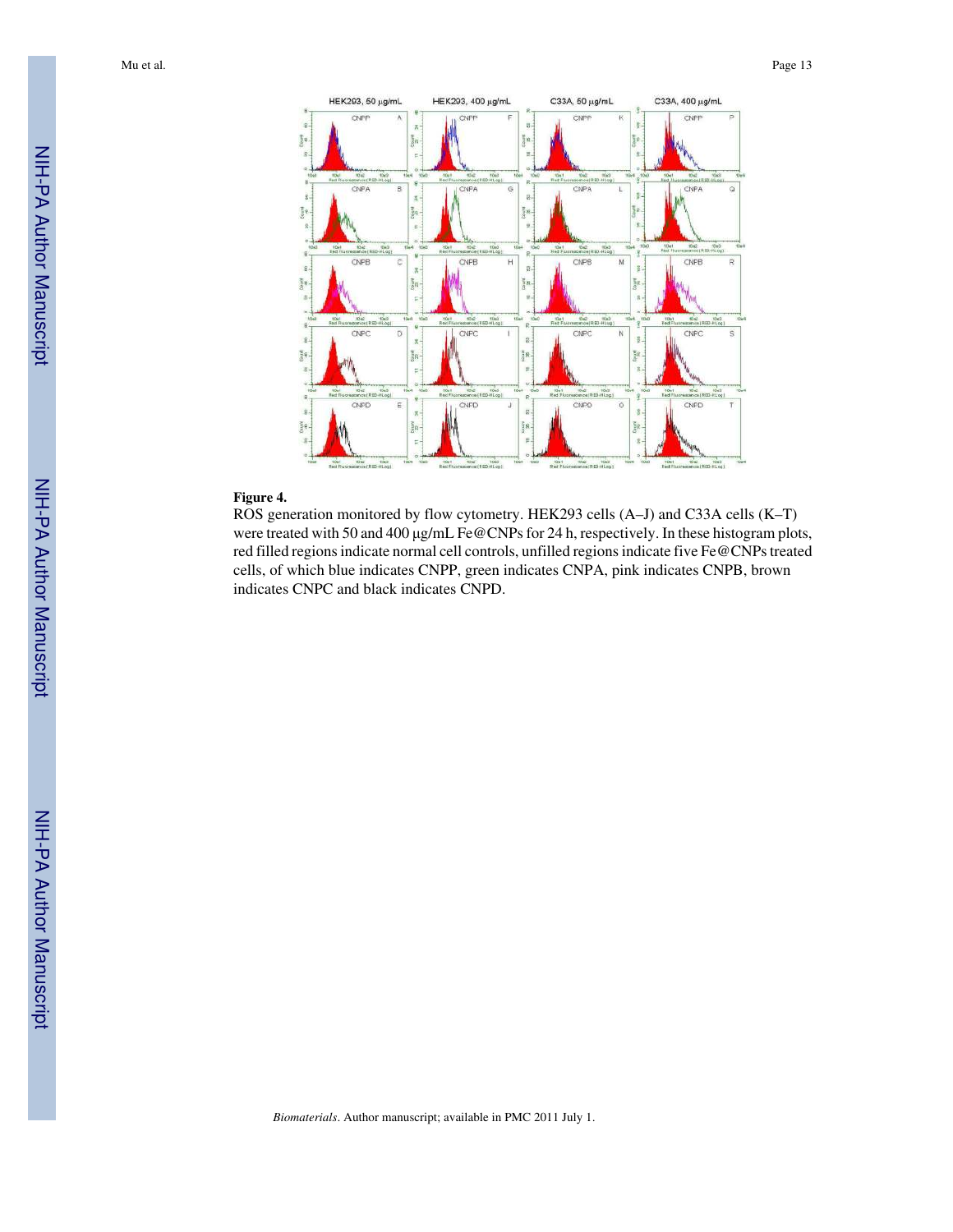

#### **Figure 4.**

ROS generation monitored by flow cytometry. HEK293 cells (A–J) and C33A cells (K–T) were treated with 50 and 400 μg/mL Fe@CNPs for 24 h, respectively. In these histogram plots, red filled regions indicate normal cell controls, unfilled regions indicate five Fe@CNPs treated cells, of which blue indicates CNPP, green indicates CNPA, pink indicates CNPB, brown indicates CNPC and black indicates CNPD.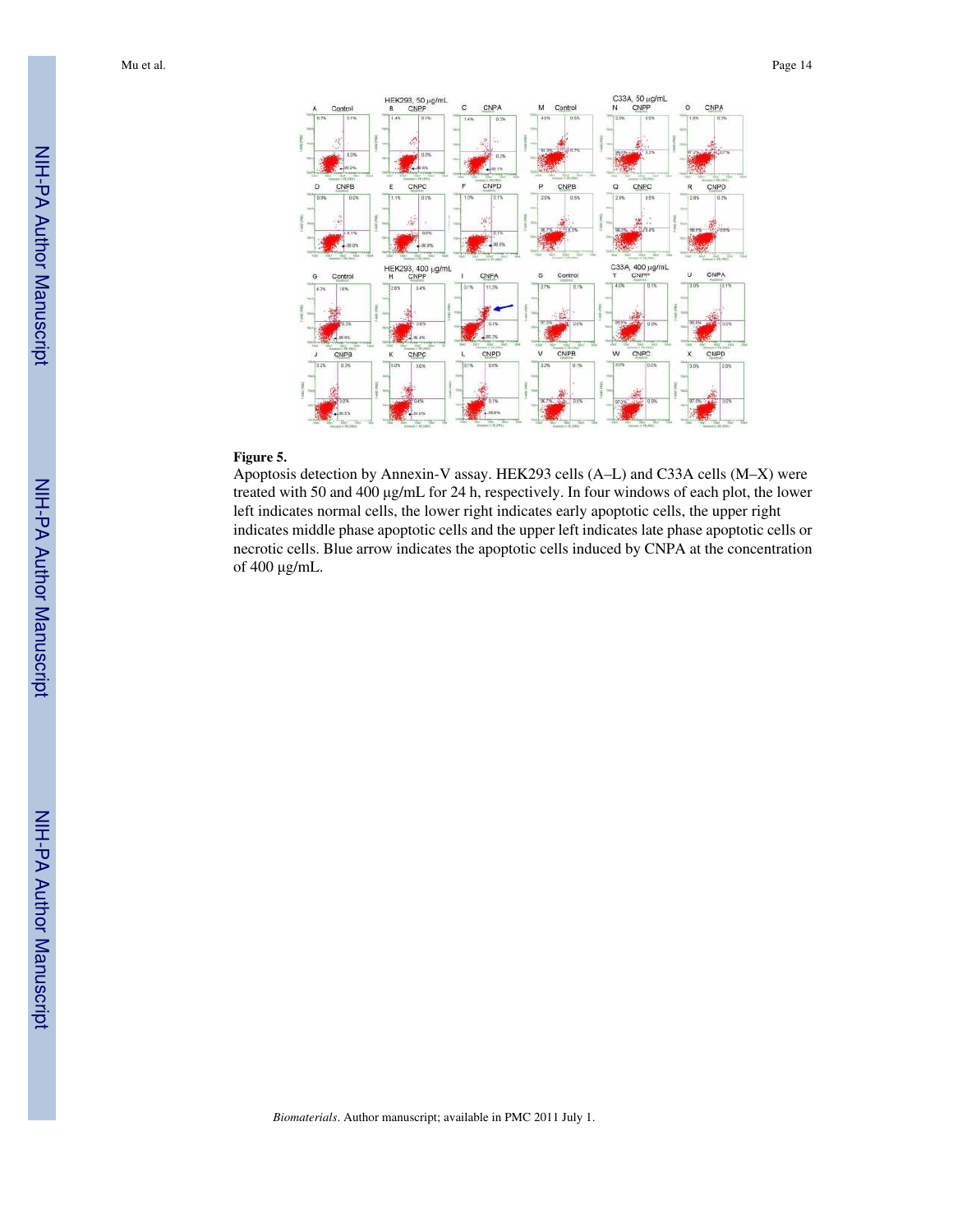

#### **Figure 5.**

Apoptosis detection by Annexin-V assay. HEK293 cells (A–L) and C33A cells (M–X) were treated with 50 and 400 μg/mL for 24 h, respectively. In four windows of each plot, the lower left indicates normal cells, the lower right indicates early apoptotic cells, the upper right indicates middle phase apoptotic cells and the upper left indicates late phase apoptotic cells or necrotic cells. Blue arrow indicates the apoptotic cells induced by CNPA at the concentration of 400 μg/mL.